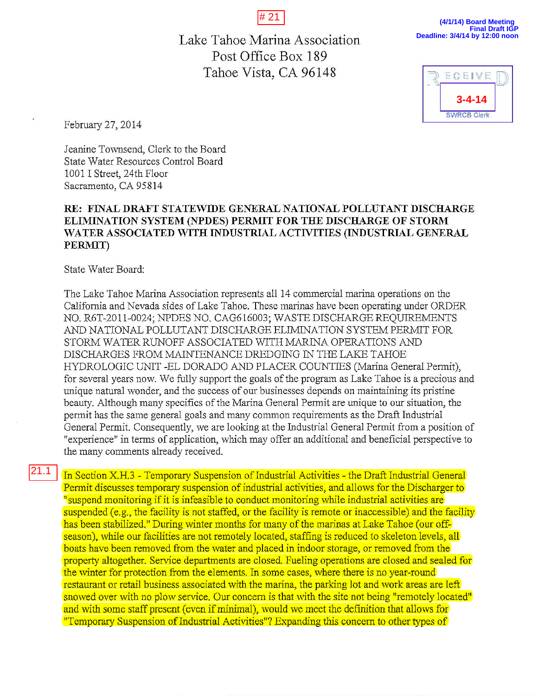# 21

Lake Tahoe Marina Association Post Office Box 189 Tahoe Vista, CA 96148

**(4/1/14) Board Meeting Final Draft IGP Deadline: 3/4/14 by 12:00 noon**



February 27, 2014

Jeanine Townsend, Clerk to the Board State Water Resources Control Board 1001 I Street, 24th Floor Sacramento, CA 95814

## RE: FINAL DRAFT STATEWIDE GENERAL NATIONAL POLLUTANT DISCHARGE ELIMINATION SYSTEM (NPDES) PERMIT FOR THE DISCHARGE OF STORM WATER ASSOCIATED WITH INDUSTRIAL ACTIVITIES (INDUSTRIAL GENERAL PERMIT)

State Water Board:

The Lake Tahoe Marina Association represents all 14 commercial marina operations on the California and Nevada sides of Lake Tahoe. These marinas have been operating under ORDER NO. R6T-2011-0024; NPDES NO. CAG616003; WASTE DISCHARGE REQUIREMENTS AND NATIONAL POLLUTANT DISCHARGE ELIMINATION SYSTEM PERMIT FOR STORM WATER RUNOFF ASSOCIATED WITH MARINA OPERATIONS AND DISCHARGES FROM MAINTENANCE DREDGING IN THE LAKE TAHOE HYDROLOGIC UNIT -ELDORADO AND PLACER COUNTIES (Marina General Permit), for several years now. We fully support the goals of the program as Lake Tahoe is a precious and unique natural wonder, and the success of our businesses depends on maintaining its pristine beauty. Although many specifics of the Marina General Permit are unique to our situation, the permit has the same general goals and many common requirements as the Draft Industrial General Permit. Consequently, we are looking at the Industrial General Permit from a position of "experience" in terms of application, which may offer an additional and beneficial perspective to the many comments already received.

In Section X.H.3 - Temporary Suspension of Industrial Activities - the Draft Industrial General Permit discusses temporary suspension of industrial activities, and allows for the Discharger to <sup>11</sup> suspend monitoring if it is infeasible to conduct monitoring while industrial activities are suspended (e.g., the facility is not staffed, or the facility is remote or inaccessible) and the facility has been stabilized." During winter months for many of the marinas at Lake Tahoe (our offseason), while our facilities are not remotely located, staffing is reduced to skeleton levels, all boats have been removed from the water and placed in indoor storage, or removed from the property altogether. Service departments are closed. Fueling operations are closed and sealed for the winter for protection from the elements. In some cases, where there is no year-round restaurant or retail business associated with the marina, the parking lot and work areas are left snowed over with no plow service. Our concern is that with the site not being "remotely located" and with some staff present (even if minimal), would we meet the definition that allows for "Temporary Suspension of Industrial Activities"? Expanding this concern to other types of 21.1